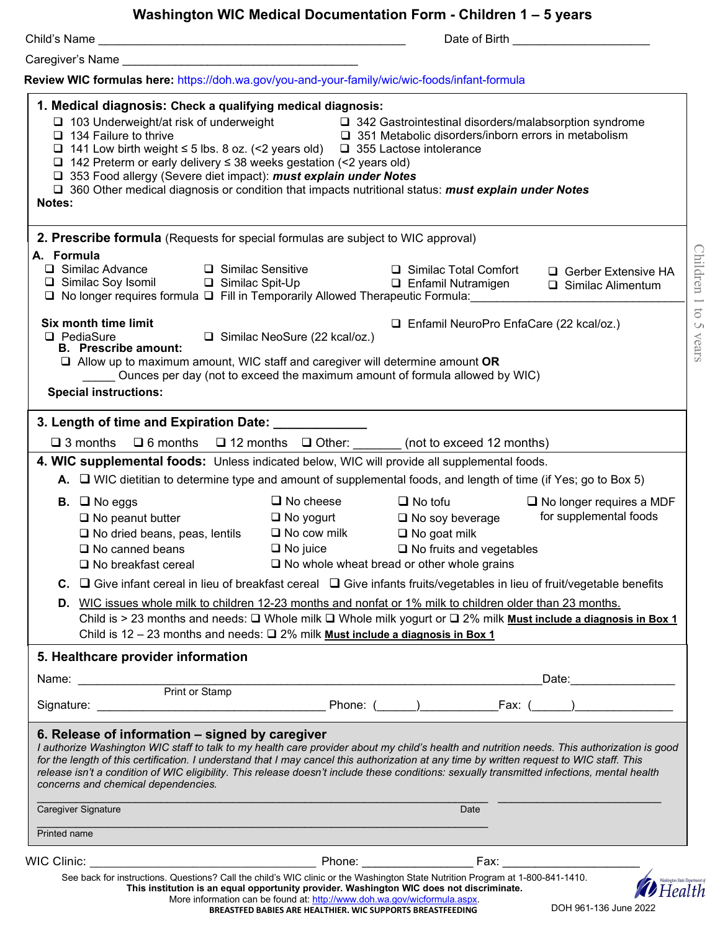|                                                                                                               |                                                                                                                                                                                                |                                                               | Date of Birth <b>Exercise 2008</b>                                                                                                                                                                                                                                                                                        |                                                                                                                                             |
|---------------------------------------------------------------------------------------------------------------|------------------------------------------------------------------------------------------------------------------------------------------------------------------------------------------------|---------------------------------------------------------------|---------------------------------------------------------------------------------------------------------------------------------------------------------------------------------------------------------------------------------------------------------------------------------------------------------------------------|---------------------------------------------------------------------------------------------------------------------------------------------|
|                                                                                                               |                                                                                                                                                                                                |                                                               |                                                                                                                                                                                                                                                                                                                           |                                                                                                                                             |
|                                                                                                               |                                                                                                                                                                                                |                                                               | Review WIC formulas here: https://doh.wa.gov/you-and-your-family/wic/wic-foods/infant-formula                                                                                                                                                                                                                             |                                                                                                                                             |
| 1. Medical diagnosis: Check a qualifying medical diagnosis:<br>$\Box$ 134 Failure to thrive<br>Notes:         | □ 103 Underweight/at risk of underweight<br>$\Box$ 142 Preterm or early delivery $\leq$ 38 weeks gestation (<2 years old)<br>□ 353 Food allergy (Severe diet impact): must explain under Notes |                                                               | □ 342 Gastrointestinal disorders/malabsorption syndrome<br>□ 351 Metabolic disorders/inborn errors in metabolism<br>$\Box$ 141 Low birth weight $\leq$ 5 lbs. 8 oz. (<2 years old) $\Box$ 355 Lactose intolerance<br>□ 360 Other medical diagnosis or condition that impacts nutritional status: must explain under Notes |                                                                                                                                             |
|                                                                                                               |                                                                                                                                                                                                |                                                               | 2. Prescribe formula (Requests for special formulas are subject to WIC approval)                                                                                                                                                                                                                                          |                                                                                                                                             |
| A. Formula<br>$\Box$ Similac Advance                                                                          | □ Similac Soy Isomil □ Similac Spit-Up                                                                                                                                                         | □ Similac Sensitive                                           | □ Similac Total Comfort<br><b>Q</b> Enfamil Nutramigen<br>□ No longer requires formula □ Fill in Temporarily Allowed Therapeutic Formula:                                                                                                                                                                                 | □ Gerber Extensive HA<br>$\Box$ Similac Alimentum                                                                                           |
| Six month time limit<br>$\Box$ PediaSure<br><b>B.</b> Prescribe amount:<br><b>Special instructions:</b>       |                                                                                                                                                                                                | □ Similac NeoSure (22 kcal/oz.)                               | □ Enfamil NeuroPro EnfaCare (22 kcal/oz.)<br>$\Box$ Allow up to maximum amount, WIC staff and caregiver will determine amount OR<br>Ounces per day (not to exceed the maximum amount of formula allowed by WIC)                                                                                                           |                                                                                                                                             |
| 3. Length of time and Expiration Date: 1988.                                                                  |                                                                                                                                                                                                |                                                               |                                                                                                                                                                                                                                                                                                                           |                                                                                                                                             |
| $\square$ 3 months                                                                                            |                                                                                                                                                                                                |                                                               | $\Box$ 6 months $\Box$ 12 months $\Box$ Other: (not to exceed 12 months)                                                                                                                                                                                                                                                  |                                                                                                                                             |
|                                                                                                               |                                                                                                                                                                                                |                                                               | 4. WIC supplemental foods: Unless indicated below, WIC will provide all supplemental foods.                                                                                                                                                                                                                               |                                                                                                                                             |
|                                                                                                               |                                                                                                                                                                                                |                                                               | A. $\Box$ WIC dietitian to determine type and amount of supplemental foods, and length of time (if Yes; go to Box 5)                                                                                                                                                                                                      |                                                                                                                                             |
| <b>B.</b> $\Box$ No eggs<br>$\Box$ No peanut butter<br>$\Box$ No canned beans                                 | $\Box$ No dried beans, peas, lentils<br>$\square$ No breakfast cereal                                                                                                                          | $\Box$ No cheese<br>$\Box$ No yogurt<br>$\square$ No cow milk | $\Box$ No tofu<br>$\Box$ No soy beverage<br>$\Box$ No goat milk<br>$\Box$ No juice $\Box$ No fruits and vegetables<br>$\Box$ No whole wheat bread or other whole grains                                                                                                                                                   | $\Box$ No longer requires a MDF<br>for supplemental foods                                                                                   |
|                                                                                                               |                                                                                                                                                                                                |                                                               |                                                                                                                                                                                                                                                                                                                           | C. $\Box$ Give infant cereal in lieu of breakfast cereal $\Box$ Give infants fruits/vegetables in lieu of fruit/vegetable benefits          |
|                                                                                                               |                                                                                                                                                                                                |                                                               | D. WIC issues whole milk to children 12-23 months and nonfat or 1% milk to children older than 23 months.                                                                                                                                                                                                                 |                                                                                                                                             |
|                                                                                                               |                                                                                                                                                                                                |                                                               | Child is 12 – 23 months and needs: $\square$ 2% milk Must include a diagnosis in Box 1                                                                                                                                                                                                                                    | Child is > 23 months and needs: □ Whole milk □ Whole milk yogurt or □ 2% milk Must include a diagnosis in Box 1                             |
| 5. Healthcare provider information                                                                            |                                                                                                                                                                                                |                                                               |                                                                                                                                                                                                                                                                                                                           |                                                                                                                                             |
|                                                                                                               |                                                                                                                                                                                                |                                                               |                                                                                                                                                                                                                                                                                                                           | _Date:___________________                                                                                                                   |
|                                                                                                               |                                                                                                                                                                                                |                                                               |                                                                                                                                                                                                                                                                                                                           |                                                                                                                                             |
| 6. Release of information – signed by caregiver<br>concerns and chemical dependencies.<br>Caregiver Signature |                                                                                                                                                                                                |                                                               | for the length of this certification. I understand that I may cancel this authorization at any time by written request to WIC staff. This<br>release isn't a condition of WIC eligibility. This release doesn't include these conditions: sexually transmitted infections, mental health<br>Date                          | I authorize Washington WIC staff to talk to my health care provider about my child's health and nutrition needs. This authorization is good |
| Printed name                                                                                                  |                                                                                                                                                                                                |                                                               |                                                                                                                                                                                                                                                                                                                           |                                                                                                                                             |
|                                                                                                               |                                                                                                                                                                                                |                                                               |                                                                                                                                                                                                                                                                                                                           |                                                                                                                                             |
|                                                                                                               |                                                                                                                                                                                                |                                                               |                                                                                                                                                                                                                                                                                                                           |                                                                                                                                             |

**BREASTFED BABIES ARE HEALTHIER. WIC SUPPORTS BREASTFEEDING**

DOH 961-136 June 2022